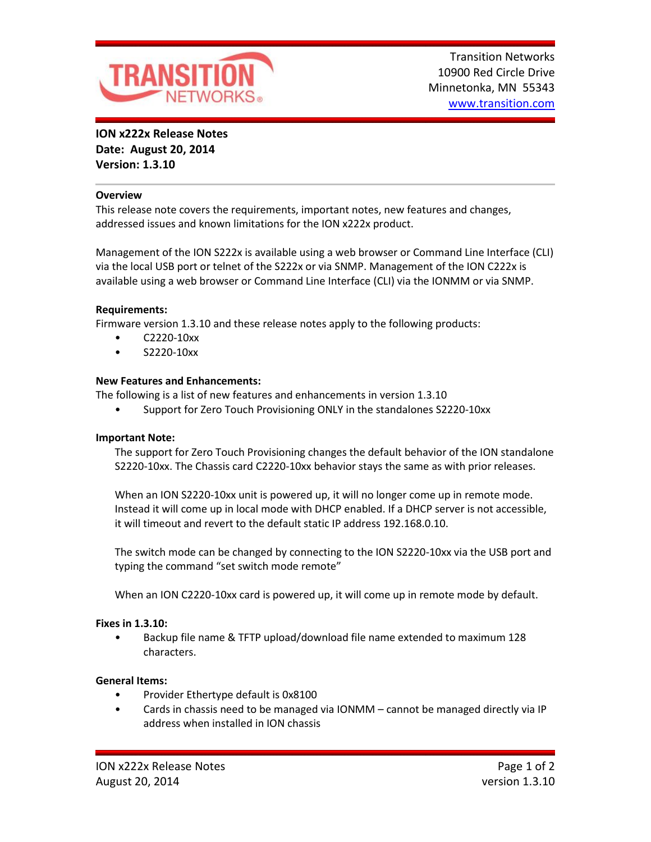

**ION x222x Release Notes Date: August 20, 2014 Version: 1.3.10**

### **Overview**

This release note covers the requirements, important notes, new features and changes, addressed issues and known limitations for the ION x222x product.

Management of the ION S222x is available using a web browser or Command Line Interface (CLI) via the local USB port or telnet of the S222x or via SNMP. Management of the ION C222x is available using a web browser or Command Line Interface (CLI) via the IONMM or via SNMP.

### **Requirements:**

Firmware version 1.3.10 and these release notes apply to the following products:

- C2220-10xx
- S2220-10xx

## **New Features and Enhancements:**

The following is a list of new features and enhancements in version 1.3.10

• Support for Zero Touch Provisioning ONLY in the standalones S2220-10xx

### **Important Note:**

The support for Zero Touch Provisioning changes the default behavior of the ION standalone S2220-10xx. The Chassis card C2220-10xx behavior stays the same as with prior releases.

When an ION S2220-10xx unit is powered up, it will no longer come up in remote mode. Instead it will come up in local mode with DHCP enabled. If a DHCP server is not accessible, it will timeout and revert to the default static IP address 192.168.0.10.

The switch mode can be changed by connecting to the ION S2220-10xx via the USB port and typing the command "set switch mode remote"

When an ION C2220-10xx card is powered up, it will come up in remote mode by default.

### **Fixes in 1.3.10:**

• Backup file name & TFTP upload/download file name extended to maximum 128 characters.

### **General Items:**

- Provider Ethertype default is 0x8100
- Cards in chassis need to be managed via IONMM cannot be managed directly via IP address when installed in ION chassis